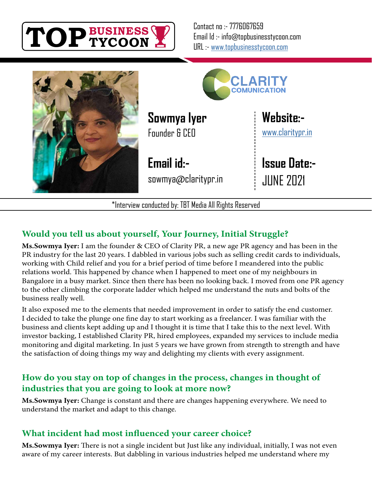

Contact no :- 7776067659 Email Id :- info@topbusinesstycoon.com URL :- [www.topbusinesstycoon.com](https://www.topbusinesstycoon.com/)





**Sowmya Iyer** Founder & CEO

**Email id:** sowmya@claritypr.in **[Website:](https://claritypr.in/)** [www.claritypr.in](http://www.claritypr.in)

**Issue Date:-** JUNE 2021

\*Interview conducted by: TBT Media All Rights Reserved

### **Would you tell us about yourself, Your Journey, Initial Struggle?**

**Ms.Sowmya Iyer:** I am the founder & CEO of Clarity PR, a new age PR agency and has been in the PR industry for the last 20 years. I dabbled in various jobs such as selling credit cards to individuals, working with Child relief and you for a brief period of time before I meandered into the public relations world. This happened by chance when I happened to meet one of my neighbours in Bangalore in a busy market. Since then there has been no looking back. I moved from one PR agency to the other climbing the corporate ladder which helped me understand the nuts and bolts of the business really well.

It also exposed me to the elements that needed improvement in order to satisfy the end customer. I decided to take the plunge one fine day to start working as a freelancer. I was familiar with the business and clients kept adding up and I thought it is time that I take this to the next level. With investor backing, I established Clarity PR, hired employees, expanded my services to include media monitoring and digital marketing. In just 5 years we have grown from strength to strength and have the satisfaction of doing things my way and delighting my clients with every assignment.

#### **How do you stay on top of changes in the process, changes in thought of industries that you are going to look at more now?**

**Ms.Sowmya Iyer:** Change is constant and there are changes happening everywhere. We need to understand the market and adapt to this change.

#### **What incident had most influenced your career choice?**

**Ms.Sowmya Iyer:** There is not a single incident but Just like any individual, initially, I was not even aware of my career interests. But dabbling in various industries helped me understand where my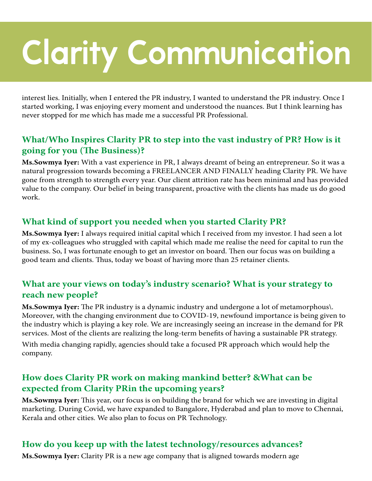# **Clarity Communication**

interest lies. Initially, when I entered the PR industry, I wanted to understand the PR industry. Once I started working, I was enjoying every moment and understood the nuances. But I think learning has never stopped for me which has made me a successful PR Professional.

#### **What/Who Inspires Clarity PR to step into the vast industry of PR? How is it going for you (The Business)?**

**Ms.Sowmya Iyer:** With a vast experience in PR, I always dreamt of being an entrepreneur. So it was a natural progression towards becoming a FREELANCER AND FINALLY heading Clarity PR. We have gone from strength to strength every year. Our client attrition rate has been minimal and has provided value to the company. Our belief in being transparent, proactive with the clients has made us do good work.

#### **What kind of support you needed when you started Clarity PR?**

**Ms.Sowmya Iyer:** I always required initial capital which I received from my investor. I had seen a lot of my ex-colleagues who struggled with capital which made me realise the need for capital to run the business. So, I was fortunate enough to get an investor on board. Then our focus was on building a good team and clients. Thus, today we boast of having more than 25 retainer clients.

#### **What are your views on today's industry scenario? What is your strategy to reach new people?**

**Ms.Sowmya Iyer:** The PR industry is a dynamic industry and undergone a lot of metamorphous\. Moreover, with the changing environment due to COVID-19, newfound importance is being given to the industry which is playing a key role. We are increasingly seeing an increase in the demand for PR services. Most of the clients are realizing the long-term benefits of having a sustainable PR strategy.

With media changing rapidly, agencies should take a focused PR approach which would help the company.

#### **How does Clarity PR work on making mankind better? &What can be expected from Clarity PRin the upcoming years?**

**Ms.Sowmya Iyer:** This year, our focus is on building the brand for which we are investing in digital marketing. During Covid, we have expanded to Bangalore, Hyderabad and plan to move to Chennai, Kerala and other cities. We also plan to focus on PR Technology.

#### **How do you keep up with the latest technology/resources advances?**

**Ms.Sowmya Iyer:** Clarity PR is a new age company that is aligned towards modern age